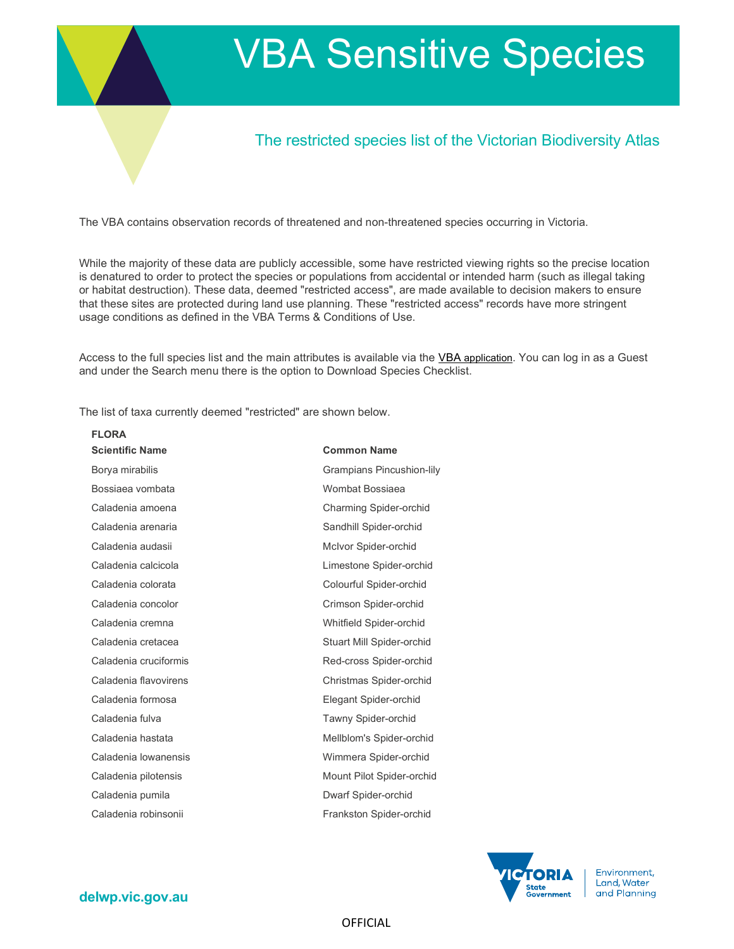# VBA Sensitive Species

# The restricted species list of the Victorian Biodiversity Atlas

The VBA contains observation records of threatened and non-threatened species occurring in Victoria.

While the majority of these data are publicly accessible, some have restricted viewing rights so the precise location is denatured to order to protect the species or populations from accidental or intended harm (such as illegal taking or habitat destruction). These data, deemed "restricted access", are made available to decision makers to ensure that these sites are protected during land use planning. These "restricted access" records have more stringent usage conditions as defined in the VBA Terms & Conditions of Use.

Access to the full species list and the main attributes is available via the VBA application. You can log in as a Guest and under the Search menu there is the option to Download Species Checklist.

The list of taxa currently deemed "restricted" are shown below.

| <b>FLORA</b>           |                               |
|------------------------|-------------------------------|
| <b>Scientific Name</b> | <b>Common Name</b>            |
| Borya mirabilis        | Grampians Pincushion-lily     |
| Bossiaea vombata       | Wombat Bossiaea               |
| Caladenia amoena       | <b>Charming Spider-orchid</b> |
| Caladenia arenaria     | Sandhill Spider-orchid        |
| Caladenia audasii      | McIvor Spider-orchid          |
| Caladenia calcicola    | Limestone Spider-orchid       |
| Caladenia colorata     | Colourful Spider-orchid       |
| Caladenia concolor     | Crimson Spider-orchid         |
| Caladenia cremna       | Whitfield Spider-orchid       |
| Caladenia cretacea     | Stuart Mill Spider-orchid     |
| Caladenia cruciformis  | Red-cross Spider-orchid       |
| Caladenia flavovirens  | Christmas Spider-orchid       |
| Caladenia formosa      | Elegant Spider-orchid         |
| Caladenia fulva        | Tawny Spider-orchid           |
| Caladenia hastata      | Mellblom's Spider-orchid      |
| Caladenia lowanensis   | Wimmera Spider-orchid         |
| Caladenia pilotensis   | Mount Pilot Spider-orchid     |
| Caladenia pumila       | Dwarf Spider-orchid           |
| Caladenia robinsonii   | Frankston Spider-orchid       |
|                        |                               |



Environment, Land, Water and Planning

# delwp.vic.gov.au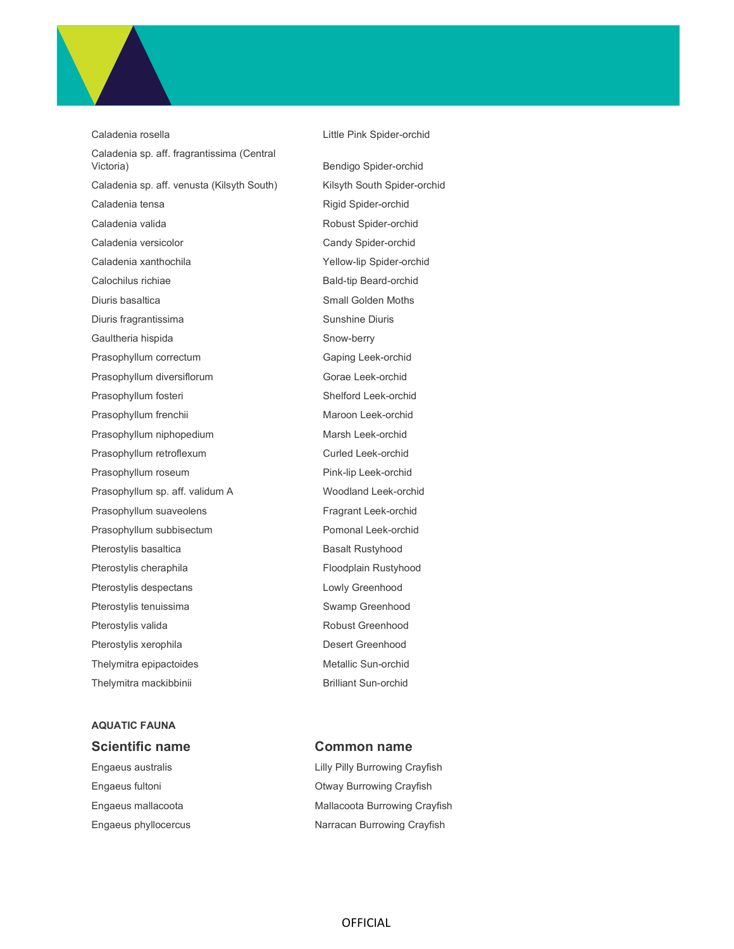

# AQUATIC FAUNA Scientific name Common name

Engaeus australis **Engaeus australis** Engaeus australis Engaeus fultoni Otway Burrowing Crayfish Engaeus mallacoota **Mallacoota Burrowing Crayfish** Engaeus phyllocercus **Narracan Burrowing Crayfish**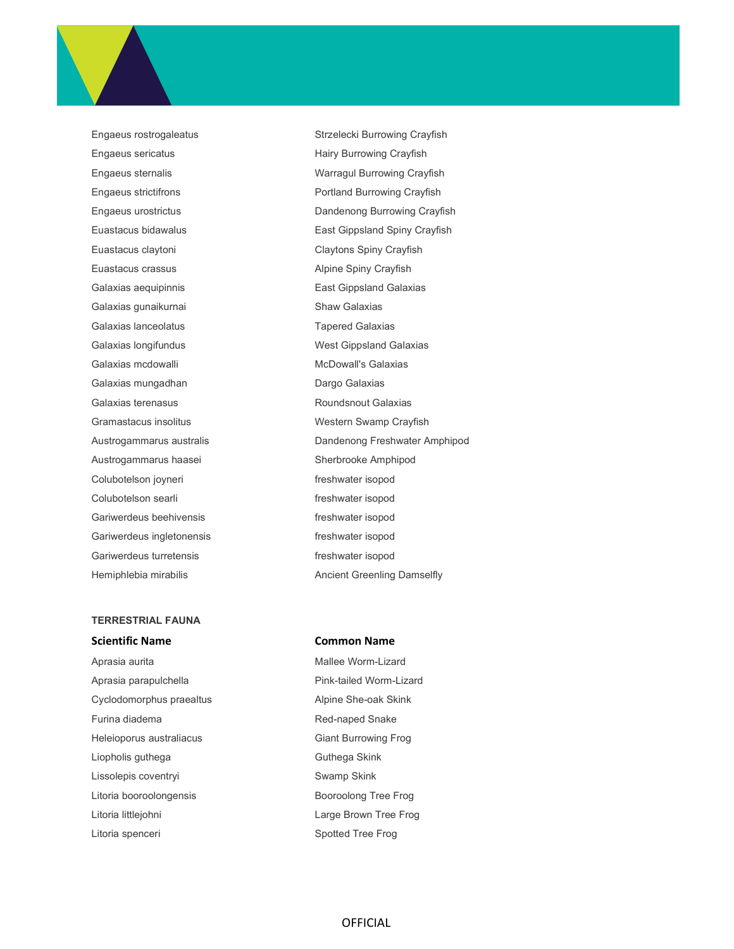Engaeus sericatus **Engaeus Sericatus** Hairy Burrowing Crayfish Euastacus claytoni Claytons Spiny Crayfish Euastacus crassus **Alpine Spiny Crayfish** Galaxias aequipinnis East Gippsland Galaxias Galaxias gunaikurnai Shaw Galaxias Galaxias lanceolatus **Tapered Galaxias** Galaxias longifundus **West Gippsland Galaxias** Galaxias mcdowalli **McDowall's Galaxias** McDowall's Galaxias Galaxias mungadhan **Dargo Galaxias** Galaxias terenasus **Calaxias** Roundsnout Galaxias Gramastacus insolitus **Western Swamp Crayfish** Austrogammarus haasei Sherbrooke Amphipod Colubotelson joyneri entranties of the freshwater isopod Colubotelson searli entry the state of the freshwater isopod Gariwerdeus beehivensis freshwater isopod Gariwerdeus ingletonensis freshwater isopod Gariwerdeus turretensis freshwater isopod

# TERRESTRIAL FAUNA

Aprasia parapulchella entrantena entrantena Pink-tailed Worm-Lizard Cyclodomorphus praealtus **Alpine She-oak Skink** Furina diadema **Red-naped Snake** Heleioporus australiacus **Giant Burrowing Frog** Liopholis guthega Guthega Skink Lissolepis coventryi **SWAMP** Swamp Skink Litoria booroolongensis and a Booroolong Tree Frog Litoria littlejohni **Large Brown Tree Frog** Litoria spenceri **Spotted Tree Frog** Citoria spenceri Spotted Tree Frog

Engaeus rostrogaleatus **Strzelecki Burrowing Crayfish** Engaeus sternalis Warragul Burrowing Crayfish Engaeus strictifrons **Portland Burrowing Crayfish** Engaeus urostrictus Dandenong Burrowing Crayfish Euastacus bidawalus East Gippsland Spiny Crayfish Austrogammarus australis Dandenong Freshwater Amphipod Hemiphlebia mirabilis **Ancient Greenling Damselfly** 

### Scientific Name **Common Name**

Aprasia aurita **Mallee Worm-Lizard** Mallee Worm-Lizard